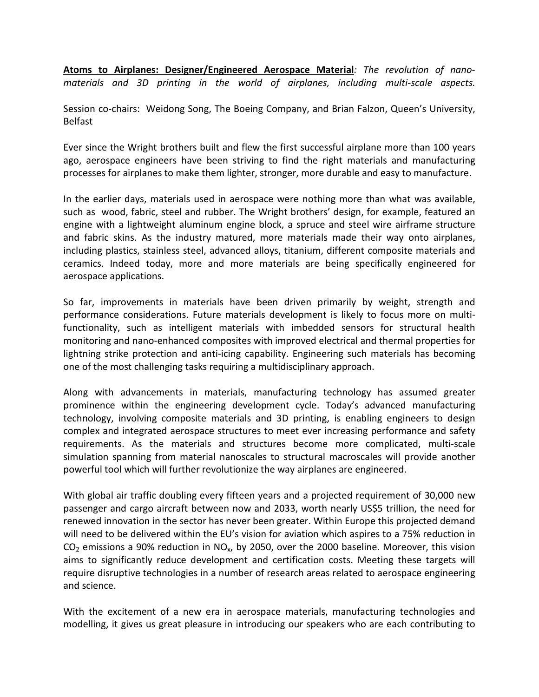**Atoms to Airplanes: Designer/Engineered Aerospace Material***: The revolution of nanomaterials and 3D printing in the world of airplanes, including multi-scale aspects.* 

Session co-chairs: Weidong Song, The Boeing Company, and Brian Falzon, Queen's University, Belfast

Ever since the Wright brothers built and flew the first successful airplane more than 100 years ago, aerospace engineers have been striving to find the right materials and manufacturing processes for airplanes to make them lighter, stronger, more durable and easy to manufacture.

In the earlier days, materials used in aerospace were nothing more than what was available, such as wood, fabric, steel and rubber. The Wright brothers' design, for example, featured an engine with a lightweight aluminum engine block, a spruce and steel wire airframe structure and fabric skins. As the industry matured, more materials made their way onto airplanes, including plastics, stainless steel, advanced alloys, titanium, different composite materials and ceramics. Indeed today, more and more materials are being specifically engineered for aerospace applications.

So far, improvements in materials have been driven primarily by weight, strength and performance considerations. Future materials development is likely to focus more on multifunctionality, such as intelligent materials with imbedded sensors for structural health monitoring and nano-enhanced composites with improved electrical and thermal properties for lightning strike protection and anti-icing capability. Engineering such materials has becoming one of the most challenging tasks requiring a multidisciplinary approach.

Along with advancements in materials, manufacturing technology has assumed greater prominence within the engineering development cycle. Today's advanced manufacturing technology, involving composite materials and 3D printing, is enabling engineers to design complex and integrated aerospace structures to meet ever increasing performance and safety requirements. As the materials and structures become more complicated, multi-scale simulation spanning from material nanoscales to structural macroscales will provide another powerful tool which will further revolutionize the way airplanes are engineered.

With global air traffic doubling every fifteen years and a projected requirement of 30,000 new passenger and cargo aircraft between now and 2033, worth nearly US\$5 trillion, the need for renewed innovation in the sector has never been greater. Within Europe this projected demand will need to be delivered within the EU's vision for aviation which aspires to a 75% reduction in  $CO<sub>2</sub>$  emissions a 90% reduction in NO<sub>x</sub>, by 2050, over the 2000 baseline. Moreover, this vision aims to significantly reduce development and certification costs. Meeting these targets will require disruptive technologies in a number of research areas related to aerospace engineering and science.

With the excitement of a new era in aerospace materials, manufacturing technologies and modelling, it gives us great pleasure in introducing our speakers who are each contributing to